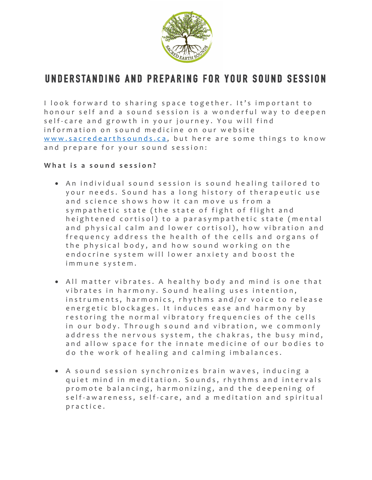

# **UNDERSTANDING AND PREPARING FOR YOUR SOUND SESSION**

I look forward to sharing space together. It's important to honour self and a sound session is a wonderful way to deepen self-care and growth in your journey. You will find information on sound medicine on our website www.sacredearthsounds.ca, but here are some things to know and prepare for your sound session:

# What is a sound session?

- An individual sound session is sound healing tailored to your needs. Sound has a long history of therapeutic use and science shows how it can move us from a sympathetic state (the state of fight of flight and heightened cortisol) to a parasympathetic state (mental and physical calm and lower cortisol), how vibration and frequency address the health of the cells and organs of the physical body, and how sound working on the endocrine system will lower anxiety and boost the immune system.
- All matter vibrates. A healthy body and mind is one that vibrates in harmony. Sound healing uses intention, instruments, harmonics, rhythms and/or voice to release energetic blockages. It induces ease and harmony by restoring the normal vibratory frequencies of the cells in our body. Through sound and vibration, we commonly address the nervous system, the chakras, the busy mind, and allow space for the innate medicine of our bodies to do the work of healing and calming imbalances.
- A sound session synchronizes brain waves, inducing a quiet mind in meditation. Sounds, rhythms and intervals promote balancing, harmonizing, and the deepening of self-awareness, self-care, and a meditation and spiritual practice .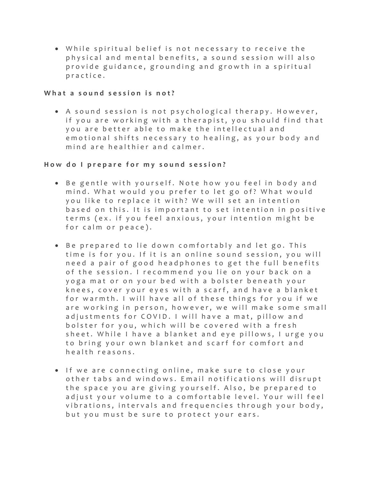• While spiritual belief is not necessary to receive the physical and mental benefits, a sound session will also provide guidance, grounding and growth in a spiritual practice.

#### **What a sound session is not?**

• A sound session is not psychological therapy. However, if you are working with a therapist, you should find that you are better able to make the intellectual and emotional shifts necessary to healing, as your body and mind are healthier and calmer.

## **How d o I prepare for my sound session ?**

- Be gentle with yourself. Note how you feel in body and mind. What would you prefer to let go of? What would you like to replace it with? We will set an intention based on this . It is important to set intention in positive terms (ex. if you feel anxious, your intention might be for calm or peace).
- Be prepared to lie down comfortably and let go. This time is for you. If it is an online sound session, you will need a pair of good headphones to get the full benefits of the session. I recommend you lie on your back on a yoga mat or on your bed with a bolster beneath your knees, cover your eyes with a scarf, and have a blanket for warmth. I will have all of these things for you if we are working in person, however, we will make some small adjustments for COVID. I will have a mat, pillow and bolster for you, which will be covered with a fresh sheet. While I have a blanket and eye pillows, I urge you to bring your own blanket and scarf for comfort and health reasons.
- If we are connecting online, make sure to close your other tabs and windows . Email notifications will disrupt the space you are giving yourself. Also, be prepared to adjust your volume to a comfortable level. Your will feel vibrations, intervals and frequencies through your body, but you must be sure to protect your ears.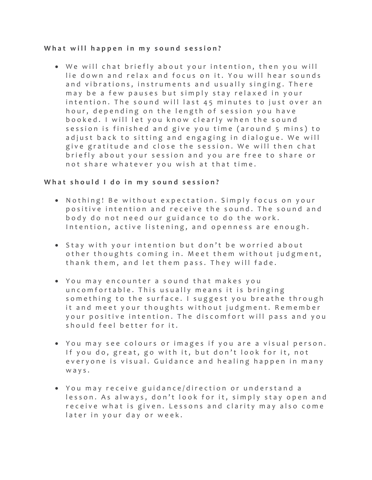## **What will happen in my sound session?**

• We will chat briefly about your intention, then you will lie down and relax and focus on it. You will hear sounds and vibrations, instruments and usually singing. There may be a few pauses but simply stay relaxed in your intention. The sound will last 45 minutes to just over an hour, depending on the length of session you have booked . I will let you know clearly when the sound session is finished and give you time (around 5 mins) to adjust back to sitting and engaging in dialogue. We will give gratitude and close the session. We will then chat briefly about your session and you are free to share or not share whatever you wish at that time.

## **What should I do in my sound session ?**

- Nothing! Be without expectation . Simply focus on your positive intention and receive the sound. The sound and body do not need our guidance to do the work . Intention, active listening, and openness are enough.
- Stay with your intention but don't be worried about other thoughts coming in. Meet them without judgment, thank them, and let them pass. They will fade.
- You may encounter a sound that makes you uncomfortable. This usually means it is bringing something to the surface. I suggest you breathe through it and meet your thoughts without judgment. Remember your positive intention. The discomfort will pass and you should feel better for it.
- You may see colours or ima ges if you are a visual person. If you do, great, go with it, but don't look for it, not everyone is visual. Guidance and healing happen in many ways.
- You may receive guidance/direction or understand a lesson. As always, don't look for it, simply stay open and receive what is given. Lessons and clarity may also come later in your day or week.